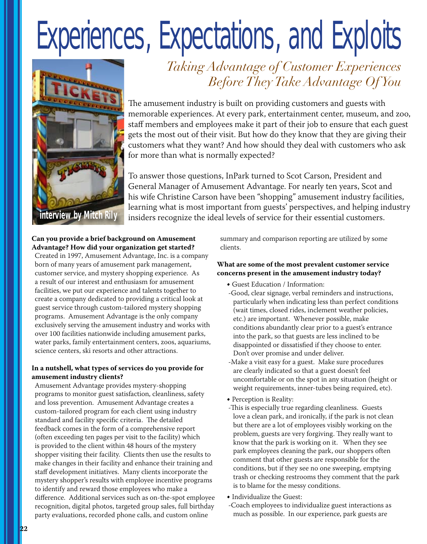# Experiences, Expectations, and Exploits



## *Taking Advantage of Customer Experiences Before They Take Advantage Of You*

The amusement industry is built on providing customers and guests with memorable experiences. At every park, entertainment center, museum, and zoo, staff members and employees make it part of their job to ensure that each guest gets the most out of their visit. But how do they know that they are giving their customers what they want? And how should they deal with customers who ask for more than what is normally expected?

To answer those questions, InPark turned to Scot Carson, President and General Manager of Amusement Advantage. For nearly ten years, Scot and his wife Christine Carson have been "shopping" amusement industry facilities, learning what is most important from guests' perspectives, and helping industry interview by Mitch Rily<br>insiders recognize the ideal levels of service for their essential customers.

#### **Can you provide a brief background on Amusement Advantage? How did your organization get started?**

Created in 1997, Amusement Advantage, Inc. is a company born of many years of amusement park management, customer service, and mystery shopping experience. As a result of our interest and enthusiasm for amusement facilities, we put our experience and talents together to create a company dedicated to providing a critical look at guest service through custom-tailored mystery shopping programs. Amusement Advantage is the only company exclusively serving the amusement industry and works with over 100 facilities nationwide including amusement parks, water parks, family entertainment centers, zoos, aquariums, science centers, ski resorts and other attractions.

#### **In a nutshell, what types of services do you provide for amusement industry clients?**

Amusement Advantage provides mystery-shopping programs to monitor guest satisfaction, cleanliness, safety and loss prevention. Amusement Advantage creates a custom-tailored program for each client using industry standard and facility specific criteria. The detailed feedback comes in the form of a comprehensive report (often exceeding ten pages per visit to the facility) which is provided to the client within 48 hours of the mystery shopper visiting their facility. Clients then use the results to make changes in their facility and enhance their training and staff development initiatives. Many clients incorporate the mystery shopper's results with employee incentive programs to identify and reward those employees who make a difference. Additional services such as on-the-spot employee recognition, digital photos, targeted group sales, full birthday party evaluations, recorded phone calls, and custom online

summary and comparison reporting are utilized by some clients.

#### **What are some of the most prevalent customer service concerns present in the amusement industry today?**

- Guest Education / Information:
- -Good, clear signage, verbal reminders and instructions, particularly when indicating less than perfect conditions (wait times, closed rides, inclement weather policies, etc.) are important. Whenever possible, make conditions abundantly clear prior to a guest's entrance into the park, so that guests are less inclined to be disappointed or dissatisfied if they choose to enter. Don't over promise and under deliver.
- -Make a visit easy for a guest. Make sure procedures are clearly indicated so that a guest doesn't feel uncomfortable or on the spot in any situation (height or weight requirements, inner-tubes being required, etc).
- Perception is Reality:
- -This is especially true regarding cleanliness. Guests love a clean park, and ironically, if the park is not clean but there are a lot of employees visibly working on the problem, guests are very forgiving. They really want to know that the park is working on it. When they see park employees cleaning the park, our shoppers often comment that other guests are responsible for the conditions, but if they see no one sweeping, emptying trash or checking restrooms they comment that the park is to blame for the messy conditions.
- Individualize the Guest:
- -Coach employees to individualize guest interactions as much as possible. In our experience, park guests are